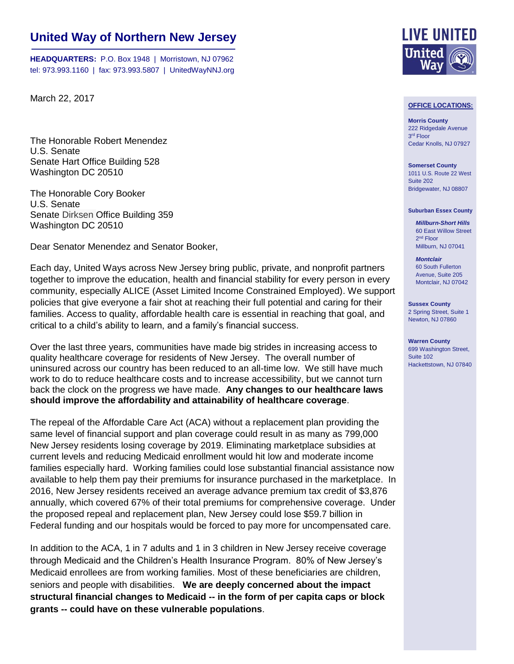## **United Way of Northern New Jersey**

**HEADQUARTERS:** P.O. Box 1948 | Morristown, NJ 07962 tel: 973.993.1160 | fax: 973.993.5807 | UnitedWayNNJ.org

March 22, 2017

The Honorable Robert Menendez U.S. Senate Senate Hart Office Building 528 Washington DC 20510

The Honorable Cory Booker U.S. Senate Senate Dirksen Office Building 359 Washington DC 20510

Dear Senator Menendez and Senator Booker,

Each day, United Ways across New Jersey bring public, private, and nonprofit partners together to improve the education, health and financial stability for every person in every community, especially ALICE (Asset Limited Income Constrained Employed). We support policies that give everyone a fair shot at reaching their full potential and caring for their families. Access to quality, affordable health care is essential in reaching that goal, and critical to a child's ability to learn, and a family's financial success.

Over the last three years, communities have made big strides in increasing access to quality healthcare coverage for residents of New Jersey. The overall number of uninsured across our country has been reduced to an all-time low. We still have much work to do to reduce healthcare costs and to increase accessibility, but we cannot turn back the clock on the progress we have made. **Any changes to our healthcare laws should improve the affordability and attainability of healthcare coverage**.

The repeal of the Affordable Care Act (ACA) without a replacement plan providing the same level of financial support and plan coverage could result in as many as 799,000 New Jersey residents losing coverage by 2019. Eliminating marketplace subsidies at current levels and reducing Medicaid enrollment would hit low and moderate income families especially hard. Working families could lose substantial financial assistance now available to help them pay their premiums for insurance purchased in the marketplace. In 2016, New Jersey residents received an average advance premium tax credit of \$3,876 annually, which covered 67% of their total premiums for comprehensive coverage. Under the proposed repeal and replacement plan, New Jersey could lose \$59.7 billion in Federal funding and our hospitals would be forced to pay more for uncompensated care.

In addition to the ACA, 1 in 7 adults and 1 in 3 children in New Jersey receive coverage through Medicaid and the Children's Health Insurance Program. 80% of New Jersey's Medicaid enrollees are from working families. Most of these beneficiaries are children, seniors and people with disabilities. **We are deeply concerned about the impact structural financial changes to Medicaid -- in the form of per capita caps or block grants -- could have on these vulnerable populations**.



## **OFFICE LOCATIONS:**

**Morris County** 222 Ridgedale Avenue 3 rd Floor Cedar Knolls, NJ 07927

**Somerset County** 1011 U.S. Route 22 West Suite 202 Bridgewater, NJ 08807

## **Suburban Essex County**

*Millburn-Short Hills* 60 East Willow Street 2<sup>nd</sup> Floor Millburn, NJ 07041

*Montclair* 60 South Fullerton Avenue, Suite 205 Montclair, NJ 07042

**Sussex County** 2 Spring Street, Suite 1 Newton, NJ 07860

**Warren County** 699 Washington Street, Suite 102 Hackettstown, NJ 07840